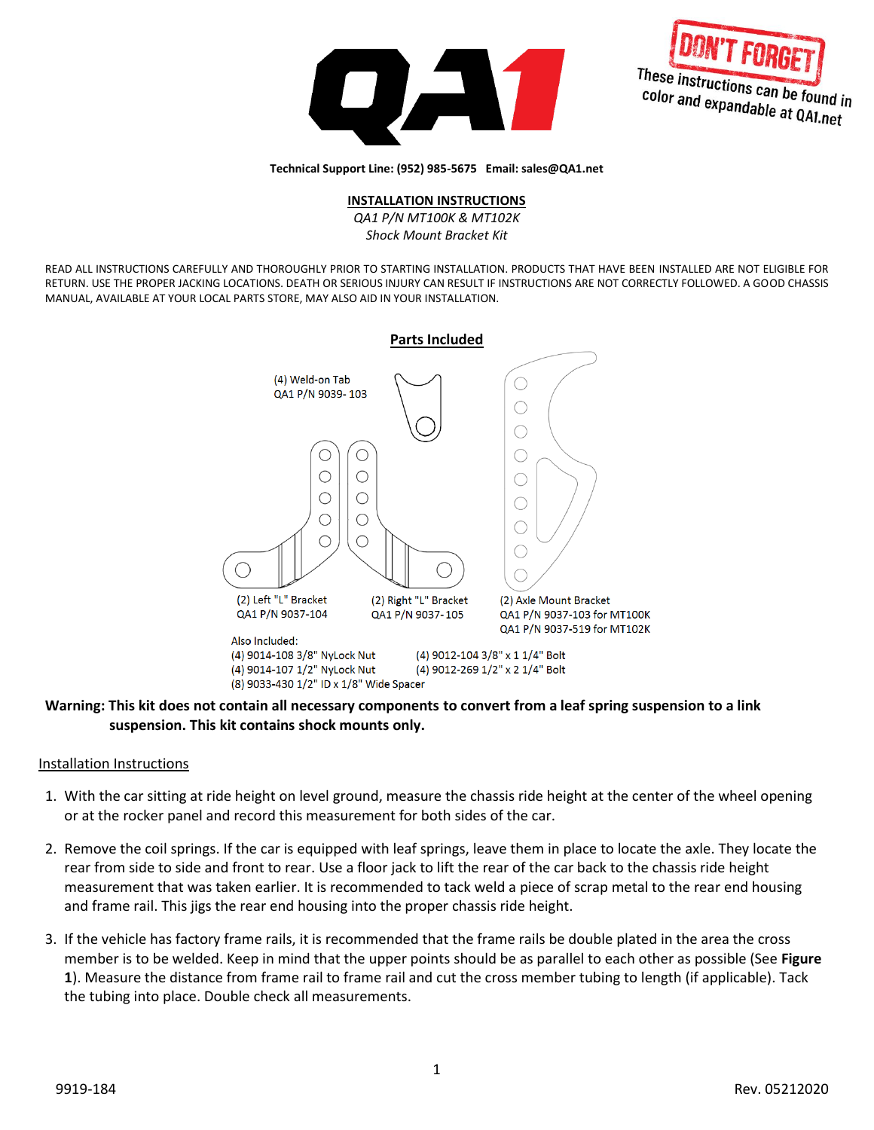



**Technical Support Line: (952) 985-5675 Email: sales@QA1.net**

## **INSTALLATION INSTRUCTIONS**

*QA1 P/N MT100K & MT102K Shock Mount Bracket Kit*

READ ALL INSTRUCTIONS CAREFULLY AND THOROUGHLY PRIOR TO STARTING INSTALLATION. PRODUCTS THAT HAVE BEEN INSTALLED ARE NOT ELIGIBLE FOR RETURN. USE THE PROPER JACKING LOCATIONS. DEATH OR SERIOUS INJURY CAN RESULT IF INSTRUCTIONS ARE NOT CORRECTLY FOLLOWED. A GOOD CHASSIS MANUAL, AVAILABLE AT YOUR LOCAL PARTS STORE, MAY ALSO AID IN YOUR INSTALLATION.



## **Warning: This kit does not contain all necessary components to convert from a leaf spring suspension to a link suspension. This kit contains shock mounts only.**

## Installation Instructions

- 1. With the car sitting at ride height on level ground, measure the chassis ride height at the center of the wheel opening or at the rocker panel and record this measurement for both sides of the car.
- 2. Remove the coil springs. If the car is equipped with leaf springs, leave them in place to locate the axle. They locate the rear from side to side and front to rear. Use a floor jack to lift the rear of the car back to the chassis ride height measurement that was taken earlier. It is recommended to tack weld a piece of scrap metal to the rear end housing and frame rail. This jigs the rear end housing into the proper chassis ride height.
- 3. If the vehicle has factory frame rails, it is recommended that the frame rails be double plated in the area the cross member is to be welded. Keep in mind that the upper points should be as parallel to each other as possible (See **Figure 1**). Measure the distance from frame rail to frame rail and cut the cross member tubing to length (if applicable). Tack the tubing into place. Double check all measurements.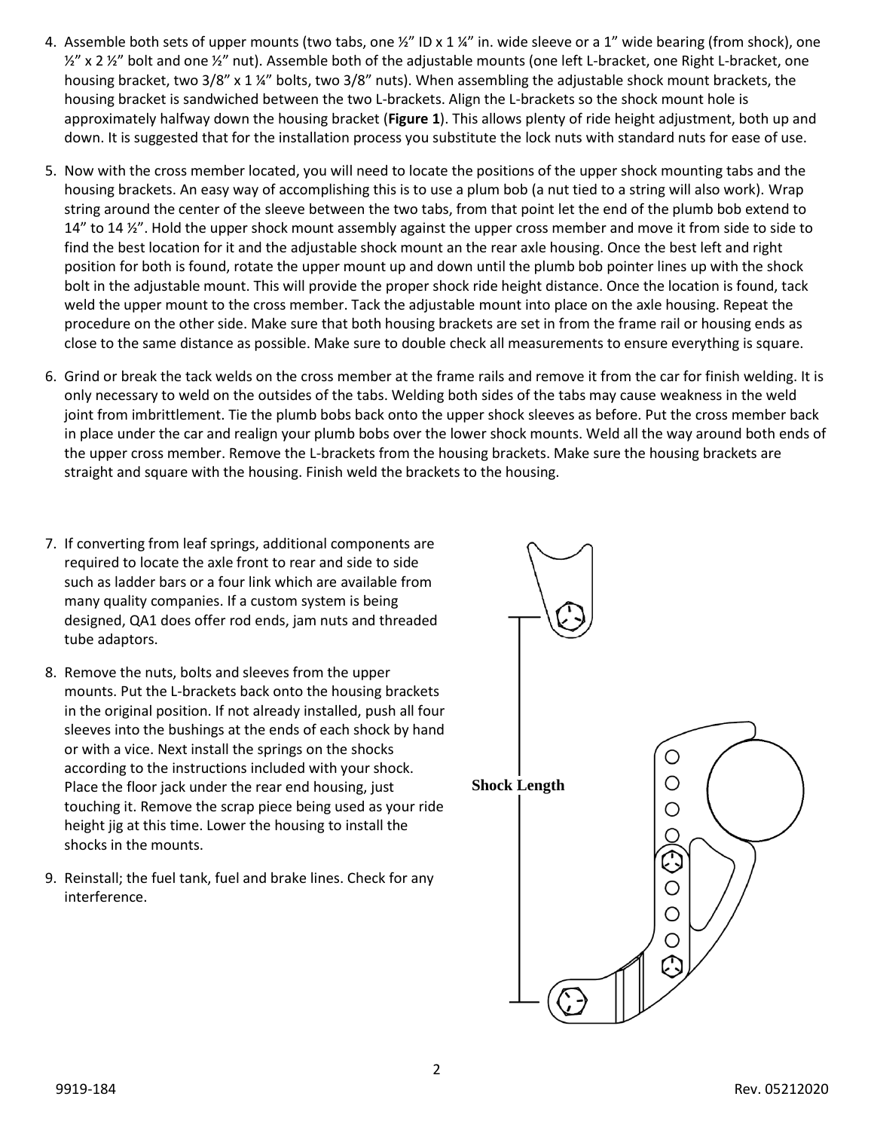- 4. Assemble both sets of upper mounts (two tabs, one  $\frac{1}{2}$ " ID x 1  $\frac{1}{4}$ " in. wide sleeve or a 1" wide bearing (from shock), one  $\frac{1}{2}$ " x 2  $\frac{1}{2}$ " bolt and one  $\frac{1}{2}$ " nut). Assemble both of the adjustable mounts (one left L-bracket, one Right L-bracket, one housing bracket, two 3/8" x 1 ¼" bolts, two 3/8" nuts). When assembling the adjustable shock mount brackets, the housing bracket is sandwiched between the two L-brackets. Align the L-brackets so the shock mount hole is approximately halfway down the housing bracket (**Figure 1**). This allows plenty of ride height adjustment, both up and down. It is suggested that for the installation process you substitute the lock nuts with standard nuts for ease of use.
- 5. Now with the cross member located, you will need to locate the positions of the upper shock mounting tabs and the housing brackets. An easy way of accomplishing this is to use a plum bob (a nut tied to a string will also work). Wrap string around the center of the sleeve between the two tabs, from that point let the end of the plumb bob extend to 14" to 14  $\frac{1}{2}$ ". Hold the upper shock mount assembly against the upper cross member and move it from side to side to find the best location for it and the adjustable shock mount an the rear axle housing. Once the best left and right position for both is found, rotate the upper mount up and down until the plumb bob pointer lines up with the shock bolt in the adjustable mount. This will provide the proper shock ride height distance. Once the location is found, tack weld the upper mount to the cross member. Tack the adjustable mount into place on the axle housing. Repeat the procedure on the other side. Make sure that both housing brackets are set in from the frame rail or housing ends as close to the same distance as possible. Make sure to double check all measurements to ensure everything is square.
- 6. Grind or break the tack welds on the cross member at the frame rails and remove it from the car for finish welding. It is only necessary to weld on the outsides of the tabs. Welding both sides of the tabs may cause weakness in the weld joint from imbrittlement. Tie the plumb bobs back onto the upper shock sleeves as before. Put the cross member back in place under the car and realign your plumb bobs over the lower shock mounts. Weld all the way around both ends of the upper cross member. Remove the L-brackets from the housing brackets. Make sure the housing brackets are straight and square with the housing. Finish weld the brackets to the housing.
- 7. If converting from leaf springs, additional components are required to locate the axle front to rear and side to side such as ladder bars or a four link which are available from many quality companies. If a custom system is being designed, QA1 does offer rod ends, jam nuts and threaded tube adaptors.
- 8. Remove the nuts, bolts and sleeves from the upper mounts. Put the L-brackets back onto the housing brackets in the original position. If not already installed, push all four sleeves into the bushings at the ends of each shock by hand or with a vice. Next install the springs on the shocks according to the instructions included with your shock. Place the floor jack under the rear end housing, just touching it. Remove the scrap piece being used as your ride height jig at this time. Lower the housing to install the shocks in the mounts.
- 9. Reinstall; the fuel tank, fuel and brake lines. Check for any interference.